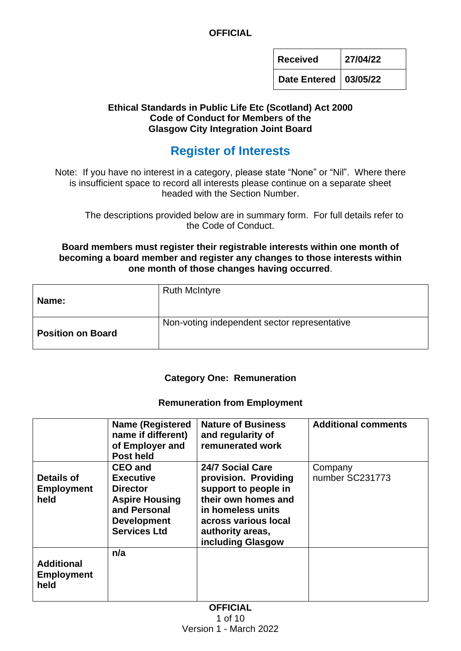**Received 27/04/22**

**Date Entered 03/05/22**

#### **Ethical Standards in Public Life Etc (Scotland) Act 2000 Code of Conduct for Members of the Glasgow City Integration Joint Board**

# **Register of Interests**

Note: If you have no interest in a category, please state "None" or "Nil". Where there is insufficient space to record all interests please continue on a separate sheet headed with the Section Number.

The descriptions provided below are in summary form. For full details refer to the Code of Conduct.

#### **Board members must register their registrable interests within one month of becoming a board member and register any changes to those interests within one month of those changes having occurred**.

| Name:                    | <b>Ruth McIntyre</b>                         |
|--------------------------|----------------------------------------------|
| <b>Position on Board</b> | Non-voting independent sector representative |

#### **Category One: Remuneration**

#### **Remuneration from Employment**

|                                                | <b>Name (Registered)</b><br>name if different)<br>of Employer and<br>Post held                                                              | <b>Nature of Business</b><br>and regularity of<br>remunerated work                                                                                                            | <b>Additional comments</b> |
|------------------------------------------------|---------------------------------------------------------------------------------------------------------------------------------------------|-------------------------------------------------------------------------------------------------------------------------------------------------------------------------------|----------------------------|
| <b>Details of</b><br><b>Employment</b><br>held | <b>CEO and</b><br><b>Executive</b><br><b>Director</b><br><b>Aspire Housing</b><br>and Personal<br><b>Development</b><br><b>Services Ltd</b> | 24/7 Social Care<br>provision. Providing<br>support to people in<br>their own homes and<br>in homeless units<br>across various local<br>authority areas,<br>including Glasgow | Company<br>number SC231773 |
| <b>Additional</b><br><b>Employment</b><br>held | n/a                                                                                                                                         |                                                                                                                                                                               |                            |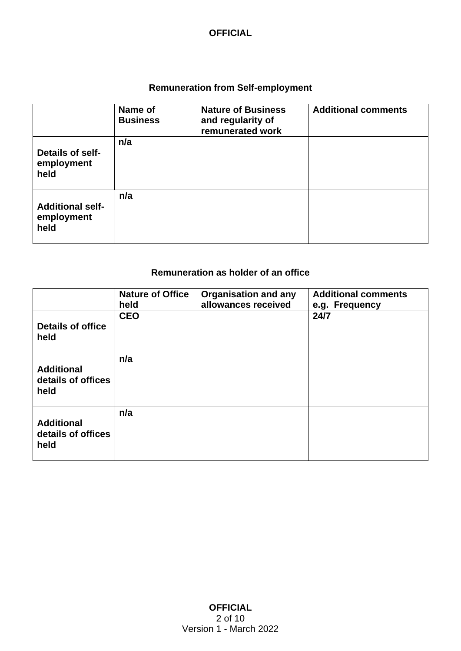### **Remuneration from Self-employment**

|                                               | Name of<br><b>Business</b> | <b>Nature of Business</b><br>and regularity of<br>remunerated work | <b>Additional comments</b> |
|-----------------------------------------------|----------------------------|--------------------------------------------------------------------|----------------------------|
| Details of self-<br>employment<br>held        | n/a                        |                                                                    |                            |
| <b>Additional self-</b><br>employment<br>held | n/a                        |                                                                    |                            |

# **Remuneration as holder of an office**

|                                                 | <b>Nature of Office</b><br>held | <b>Organisation and any</b><br>allowances received | <b>Additional comments</b><br>e.g. Frequency |
|-------------------------------------------------|---------------------------------|----------------------------------------------------|----------------------------------------------|
| <b>Details of office</b><br>held                | <b>CEO</b>                      |                                                    | 24/7                                         |
| <b>Additional</b><br>details of offices<br>held | n/a                             |                                                    |                                              |
| <b>Additional</b><br>details of offices<br>held | n/a                             |                                                    |                                              |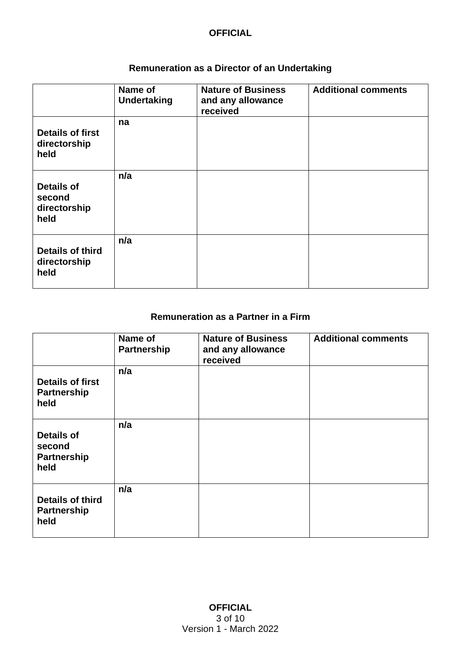# **Remuneration as a Director of an Undertaking**

|                                                     | Name of<br><b>Undertaking</b> | <b>Nature of Business</b><br>and any allowance<br>received | <b>Additional comments</b> |
|-----------------------------------------------------|-------------------------------|------------------------------------------------------------|----------------------------|
| <b>Details of first</b><br>directorship<br>held     | na                            |                                                            |                            |
| <b>Details of</b><br>second<br>directorship<br>held | n/a                           |                                                            |                            |
| <b>Details of third</b><br>directorship<br>held     | n/a                           |                                                            |                            |

## **Remuneration as a Partner in a Firm**

|                                                           | Name of<br><b>Partnership</b> | <b>Nature of Business</b><br>and any allowance<br>received | <b>Additional comments</b> |
|-----------------------------------------------------------|-------------------------------|------------------------------------------------------------|----------------------------|
| <b>Details of first</b><br><b>Partnership</b><br>held     | n/a                           |                                                            |                            |
| <b>Details of</b><br>second<br><b>Partnership</b><br>held | n/a                           |                                                            |                            |
| <b>Details of third</b><br><b>Partnership</b><br>held     | n/a                           |                                                            |                            |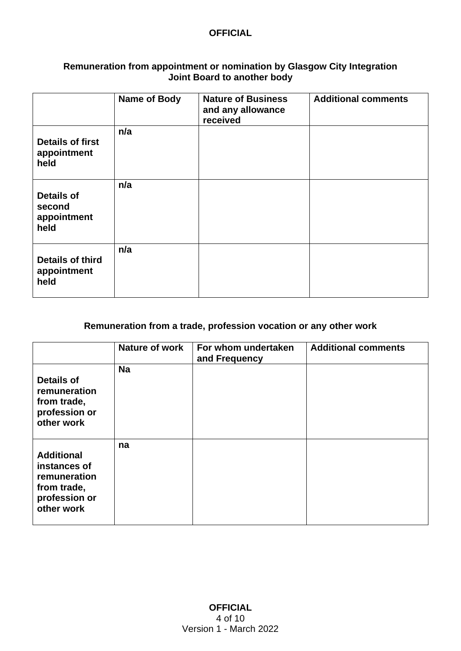#### **Remuneration from appointment or nomination by Glasgow City Integration Joint Board to another body**

|                                                    | Name of Body | <b>Nature of Business</b><br>and any allowance<br>received | <b>Additional comments</b> |
|----------------------------------------------------|--------------|------------------------------------------------------------|----------------------------|
| <b>Details of first</b><br>appointment<br>held     | n/a          |                                                            |                            |
| <b>Details of</b><br>second<br>appointment<br>held | n/a          |                                                            |                            |
| <b>Details of third</b><br>appointment<br>held     | n/a          |                                                            |                            |

### **Remuneration from a trade, profession vocation or any other work**

|                                                                                                 | Nature of work | For whom undertaken<br>and Frequency | <b>Additional comments</b> |
|-------------------------------------------------------------------------------------------------|----------------|--------------------------------------|----------------------------|
| <b>Details of</b><br>remuneration<br>from trade,<br>profession or<br>other work                 | <b>Na</b>      |                                      |                            |
| <b>Additional</b><br>instances of<br>remuneration<br>from trade,<br>profession or<br>other work | na             |                                      |                            |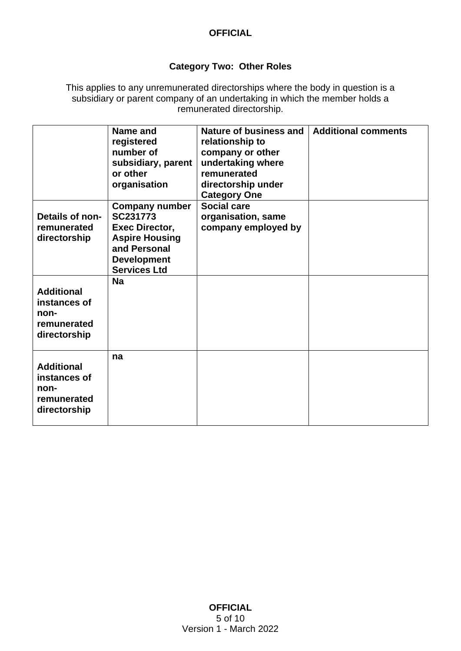# **Category Two: Other Roles**

This applies to any unremunerated directorships where the body in question is a subsidiary or parent company of an undertaking in which the member holds a remunerated directorship.

| Details of non-<br>remunerated<br>directorship                           | Name and<br>registered<br>number of<br>subsidiary, parent<br>or other<br>organisation<br><b>Company number</b><br>SC231773<br>Exec Director,<br><b>Aspire Housing</b><br>and Personal | Nature of business and<br>relationship to<br>company or other<br>undertaking where<br>remunerated<br>directorship under<br><b>Category One</b><br><b>Social care</b><br>organisation, same<br>company employed by | <b>Additional comments</b> |
|--------------------------------------------------------------------------|---------------------------------------------------------------------------------------------------------------------------------------------------------------------------------------|-------------------------------------------------------------------------------------------------------------------------------------------------------------------------------------------------------------------|----------------------------|
|                                                                          | <b>Development</b>                                                                                                                                                                    |                                                                                                                                                                                                                   |                            |
|                                                                          | <b>Services Ltd</b>                                                                                                                                                                   |                                                                                                                                                                                                                   |                            |
| <b>Additional</b><br>instances of<br>non-<br>remunerated<br>directorship | <b>Na</b>                                                                                                                                                                             |                                                                                                                                                                                                                   |                            |
| <b>Additional</b><br>instances of<br>non-<br>remunerated<br>directorship | na                                                                                                                                                                                    |                                                                                                                                                                                                                   |                            |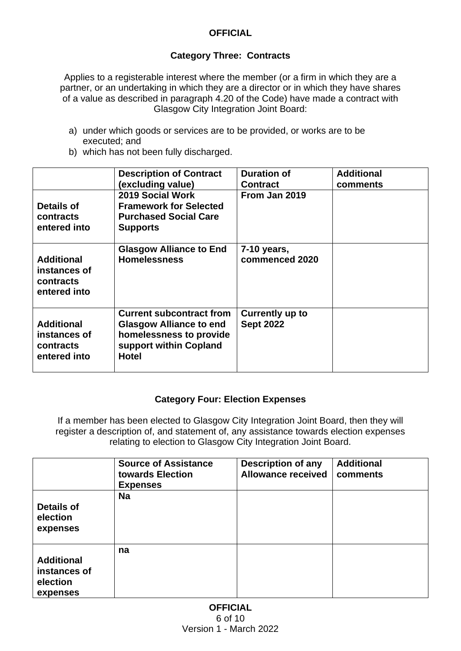## **Category Three: Contracts**

Applies to a registerable interest where the member (or a firm in which they are a partner, or an undertaking in which they are a director or in which they have shares of a value as described in paragraph 4.20 of the Code) have made a contract with Glasgow City Integration Joint Board:

- a) under which goods or services are to be provided, or works are to be executed; and
- b) which has not been fully discharged.

| Details of<br>contracts<br>entered into                        | <b>Description of Contract</b><br>(excluding value)<br>2019 Social Work<br><b>Framework for Selected</b><br><b>Purchased Social Care</b><br><b>Supports</b> | <b>Duration of</b><br><b>Contract</b><br>From Jan 2019 | <b>Additional</b><br>comments |
|----------------------------------------------------------------|-------------------------------------------------------------------------------------------------------------------------------------------------------------|--------------------------------------------------------|-------------------------------|
| <b>Additional</b><br>instances of<br>contracts<br>entered into | <b>Glasgow Alliance to End</b><br><b>Homelessness</b>                                                                                                       | 7-10 years,<br>commenced 2020                          |                               |
| <b>Additional</b><br>instances of<br>contracts<br>entered into | <b>Current subcontract from</b><br><b>Glasgow Alliance to end</b><br>homelessness to provide<br>support within Copland<br><b>Hotel</b>                      | <b>Currently up to</b><br><b>Sept 2022</b>             |                               |

#### **Category Four: Election Expenses**

If a member has been elected to Glasgow City Integration Joint Board, then they will register a description of, and statement of, any assistance towards election expenses relating to election to Glasgow City Integration Joint Board.

|                        | <b>Source of Assistance</b><br>towards Election<br><b>Expenses</b> | <b>Description of any</b><br><b>Allowance received</b> | <b>Additional</b><br>comments |
|------------------------|--------------------------------------------------------------------|--------------------------------------------------------|-------------------------------|
| Details of<br>election | <b>Na</b>                                                          |                                                        |                               |
| expenses               |                                                                    |                                                        |                               |
|                        | na                                                                 |                                                        |                               |
| <b>Additional</b>      |                                                                    |                                                        |                               |
| instances of           |                                                                    |                                                        |                               |
| election<br>expenses   |                                                                    |                                                        |                               |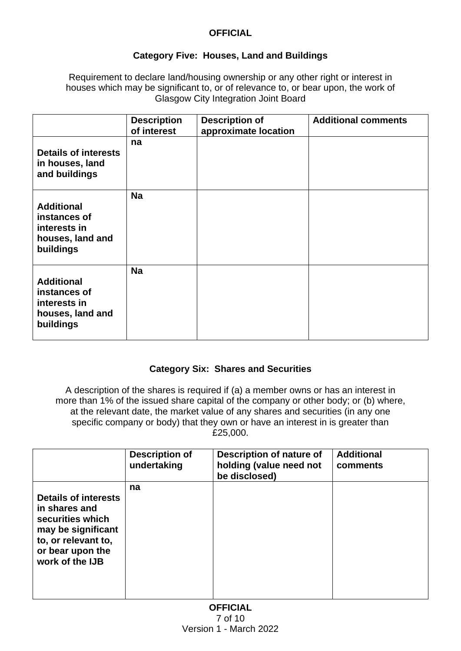## **Category Five: Houses, Land and Buildings**

Requirement to declare land/housing ownership or any other right or interest in houses which may be significant to, or of relevance to, or bear upon, the work of Glasgow City Integration Joint Board

|                                                                                    | <b>Description</b><br>of interest | <b>Description of</b><br>approximate location | <b>Additional comments</b> |
|------------------------------------------------------------------------------------|-----------------------------------|-----------------------------------------------|----------------------------|
| <b>Details of interests</b><br>in houses, land<br>and buildings                    | na                                |                                               |                            |
| <b>Additional</b><br>instances of<br>interests in<br>houses, land and<br>buildings | <b>Na</b>                         |                                               |                            |
| <b>Additional</b><br>instances of<br>interests in<br>houses, land and<br>buildings | <b>Na</b>                         |                                               |                            |

#### **Category Six: Shares and Securities**

A description of the shares is required if (a) a member owns or has an interest in more than 1% of the issued share capital of the company or other body; or (b) where, at the relevant date, the market value of any shares and securities (in any one specific company or body) that they own or have an interest in is greater than £25,000.

|                                                                                                                                                      | <b>Description of</b><br>undertaking | Description of nature of<br>holding (value need not<br>be disclosed) | <b>Additional</b><br>comments |
|------------------------------------------------------------------------------------------------------------------------------------------------------|--------------------------------------|----------------------------------------------------------------------|-------------------------------|
| <b>Details of interests</b><br>in shares and<br>securities which<br>may be significant<br>to, or relevant to,<br>or bear upon the<br>work of the IJB | na                                   |                                                                      |                               |

**OFFICIAL** 7 of 10 Version 1 - March 2022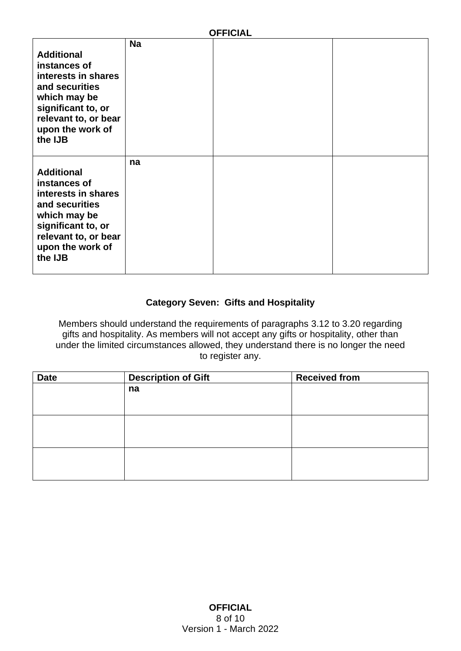| <b>OFFICIAL</b>                                                                                                                                                         |           |  |  |
|-------------------------------------------------------------------------------------------------------------------------------------------------------------------------|-----------|--|--|
| <b>Additional</b><br>instances of<br>interests in shares<br>and securities<br>which may be<br>significant to, or<br>relevant to, or bear<br>upon the work of<br>the IJB | <b>Na</b> |  |  |
| <b>Additional</b><br>instances of<br>interests in shares<br>and securities<br>which may be<br>significant to, or<br>relevant to, or bear<br>upon the work of<br>the IJB | na        |  |  |

**DECALL** 

## **Category Seven: Gifts and Hospitality**

Members should understand the requirements of paragraphs 3.12 to 3.20 regarding gifts and hospitality. As members will not accept any gifts or hospitality, other than under the limited circumstances allowed, they understand there is no longer the need to register any.

| <b>Date</b> | <b>Description of Gift</b> | <b>Received from</b> |
|-------------|----------------------------|----------------------|
|             | na                         |                      |
|             |                            |                      |
|             |                            |                      |
|             |                            |                      |
|             |                            |                      |
|             |                            |                      |
|             |                            |                      |
|             |                            |                      |
|             |                            |                      |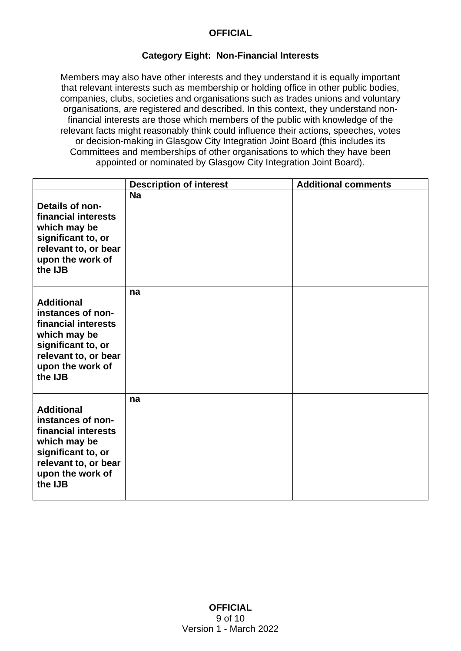#### **Category Eight: Non-Financial Interests**

Members may also have other interests and they understand it is equally important that relevant interests such as membership or holding office in other public bodies, companies, clubs, societies and organisations such as trades unions and voluntary organisations, are registered and described. In this context, they understand nonfinancial interests are those which members of the public with knowledge of the relevant facts might reasonably think could influence their actions, speeches, votes or decision-making in Glasgow City Integration Joint Board (this includes its Committees and memberships of other organisations to which they have been appointed or nominated by Glasgow City Integration Joint Board).

|                                                                                                                                                            | <b>Description of interest</b> | <b>Additional comments</b> |
|------------------------------------------------------------------------------------------------------------------------------------------------------------|--------------------------------|----------------------------|
| Details of non-<br>financial interests<br>which may be<br>significant to, or<br>relevant to, or bear<br>upon the work of<br>the IJB                        | <b>Na</b>                      |                            |
| <b>Additional</b><br>instances of non-<br>financial interests<br>which may be<br>significant to, or<br>relevant to, or bear<br>upon the work of<br>the IJB | na                             |                            |
| <b>Additional</b><br>instances of non-<br>financial interests<br>which may be<br>significant to, or<br>relevant to, or bear<br>upon the work of<br>the IJB | na                             |                            |